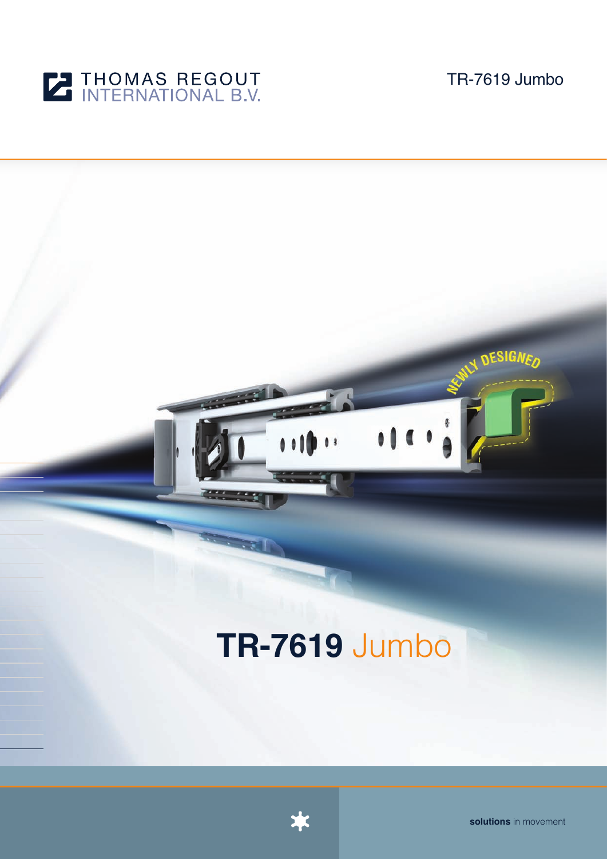

TR-7619 Jumbo

# **DESIGNEN** a a Af  $<sup>1</sup>$ </sup>

# **TR-7619** Jumbo



**solutions** in movement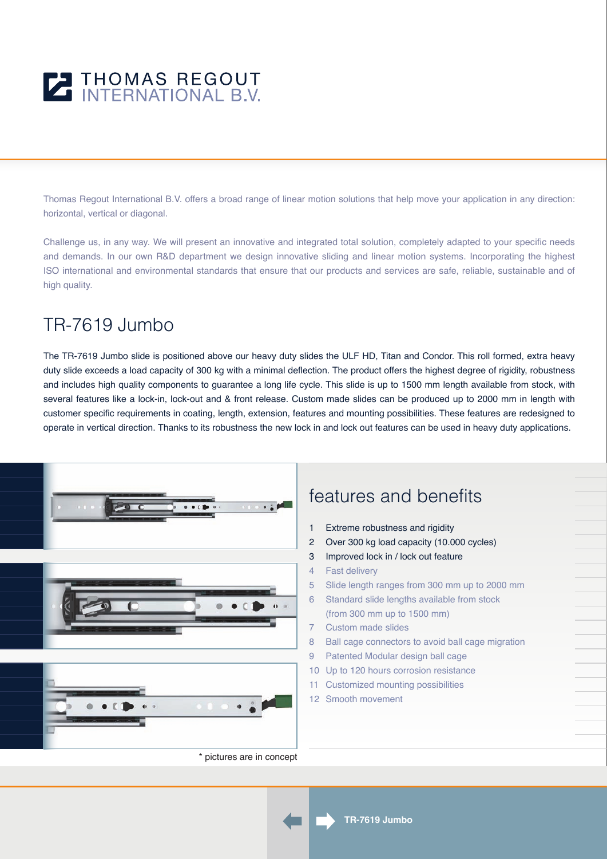

Thomas Regout International B.V. offers a broad range of linear motion solutions that help move your application in any direction: horizontal, vertical or diagonal.

Challenge us, in any way. We will present an innovative and integrated total solution, completely adapted to your specific needs and demands. In our own R&D department we design innovative sliding and linear motion systems. Incorporating the highest ISO international and environmental standards that ensure that our products and services are safe, reliable, sustainable and of high quality.

## TR-7619 Jumbo

The TR-7619 Jumbo slide is positioned above our heavy duty slides the ULF HD, Titan and Condor. This roll formed, extra heavy duty slide exceeds a load capacity of 300 kg with a minimal deflection. The product offers the highest degree of rigidity, robustness and includes high quality components to guarantee a long life cycle. This slide is up to 1500 mm length available from stock, with several features like a lock-in, lock-out and & front release. Custom made slides can be produced up to 2000 mm in length with customer specific requirements in coating, length, extension, features and mounting possibilities. These features are redesigned to operate in vertical direction. Thanks to its robustness the new lock in and lock out features can be used in heavy duty applications.







#### \* pictures are in concept

### features and benefits

- 1 Extreme robustness and rigidity
- 2 Over 300 kg load capacity (10.000 cycles)
- 3 Improved lock in / lock out feature
- 4 Fast delivery
- 5 Slide length ranges from 300 mm up to 2000 mm
- 6 Standard slide lengths available from stock (from 300 mm up to 1500 mm)
- 7 Custom made slides
- 8 Ball cage connectors to avoid ball cage migration
- 9 Patented Modular design ball cage
- 10 Up to 120 hours corrosion resistance
- 11 Customized mounting possibilities
- 12 Smooth movement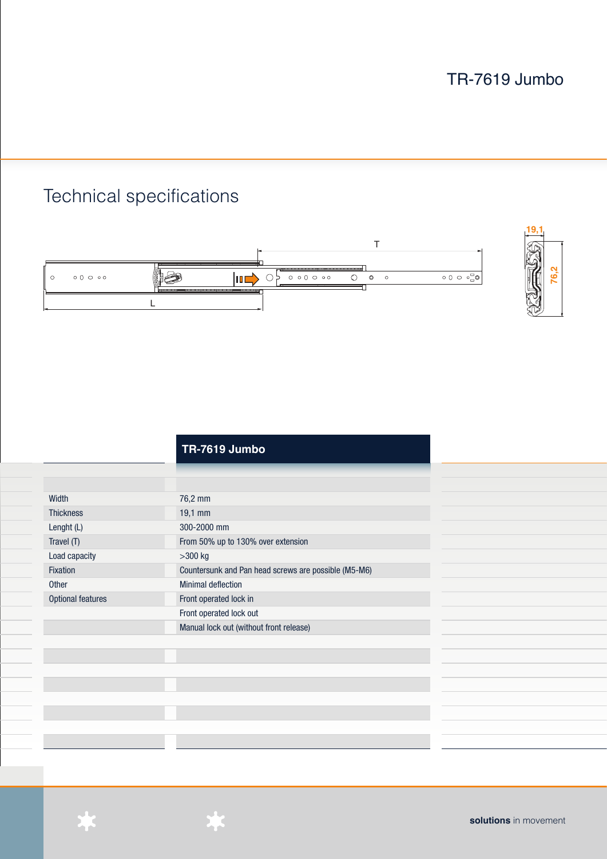# Technical specifications





|                          | <b>TR-7619 Jumbo</b>                                 |
|--------------------------|------------------------------------------------------|
|                          |                                                      |
|                          |                                                      |
| Width                    | 76,2 mm                                              |
| <b>Thickness</b>         | 19,1 mm                                              |
| Lenght (L)               | 300-2000 mm                                          |
| Travel (T)               | From 50% up to 130% over extension                   |
| Load capacity            | $>300$ kg                                            |
| Fixation                 | Countersunk and Pan head screws are possible (M5-M6) |
| Other                    | <b>Minimal deflection</b>                            |
| <b>Optional features</b> | Front operated lock in                               |
|                          | Front operated lock out                              |
|                          | Manual lock out (without front release)              |
|                          |                                                      |
|                          |                                                      |
|                          |                                                      |
|                          |                                                      |
|                          |                                                      |
|                          |                                                      |
|                          |                                                      |
|                          |                                                      |